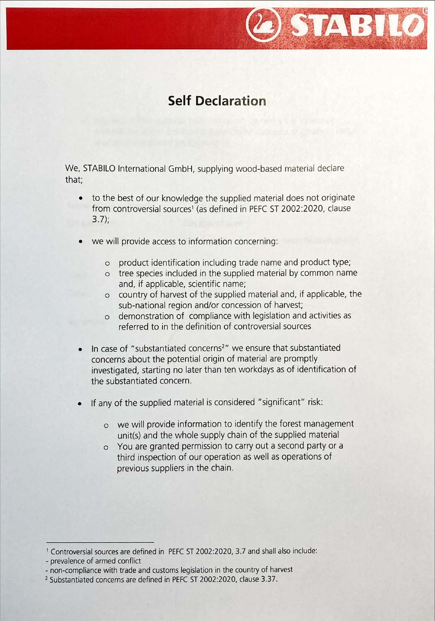## STABILO

## Self Declaration

We, STABILO International GmbH, supplying wood-based material declare that;

- to the best of our knowledge the supplied material does not originate  $\bullet$ from controversial sources<sup>1</sup> (as defined in PEFC ST 2002:2020, clause 3.7);
- we will provide access to information concerning:
	- o product identification including trade name and product type;
	- o tree species included in the supplied material by common name and, if applicable, scientific name;
	- <sup>O</sup> country of harvest of the supplied material and, if applicable, sub-national region and/or concession of harvest;
	- o demonstration of compliance with legislation and activities as referred to in the definition of controversial
- In case of "substantiated concerns<sup>2</sup>" we ensure that substantiated concerns about the potential origin of material are investigated, starting no later than ten workdays as of identification the substantiated concern.
- If any of the supplied material is considered "significant" risk:
	- we will provide information to identify the forest management unit(s) and the whole supply chain of the supplied material
	- <sup>O</sup> You are granted permission to carry out a second party or third inspection of our operation as well as operations previous suppliers in the chain.

<sup>&</sup>lt;sup>1</sup> Controversial sources are defined in PEFC ST 2002:2020, 3.7 and shall also include:

<sup>-</sup> prevalence of armed conflict

non-compliance with trade and customs legislation in the country of harvest

<sup>&</sup>lt;sup>2</sup> Substantiated concerns are defined in PEFC ST 2002:2020, clause 3.37.